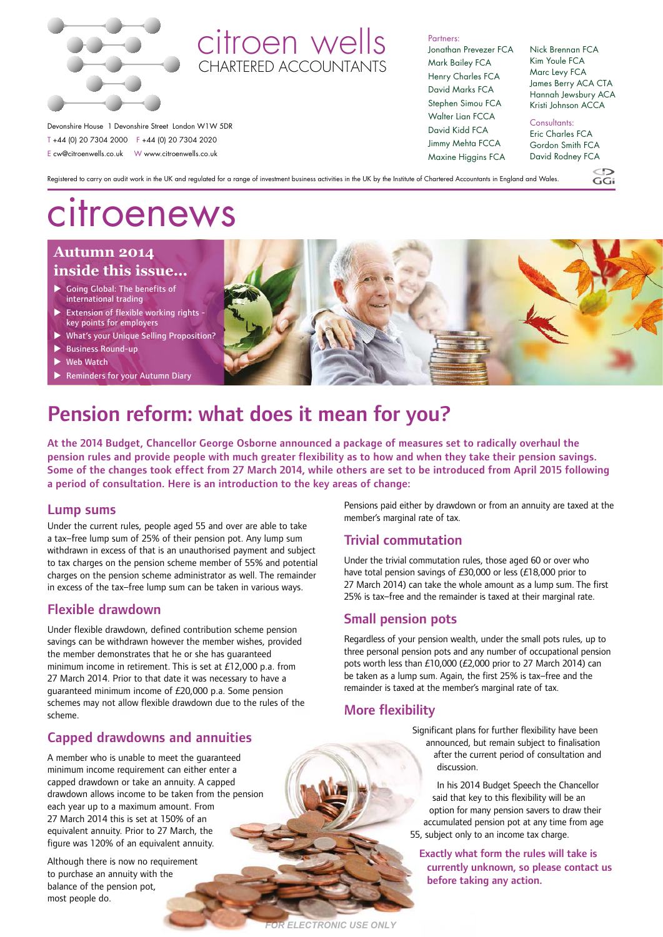

# citroen wells CHARTERED ACCOUNTANTS

Partners: Jonathan Prevezer FCA Mark Bailey FCA Henry Charles FCA David Marks FCA Stephen Simou FCA Walter Lian FCCA David Kidd FCA Jimmy Mehta FCCA Maxine Higgins FCA

Nick Brennan FCA Kim Youle FCA Marc Levy FCA James Berry ACA CTA Hannah Jewsbury ACA Kristi Johnson ACCA

Consultants: Eric Charles FCA Gordon Smith FCA David Rodney FCA

 $CC:$ 

Registered to carry on audit work in the UK and regulated for a range of investment business activities in the UK by the Institute of Chartered Accountants in England and Wales.

# citroenews

Devonshire House 1 Devonshire Street London W1W 5DR T +44 (0) 20 7304 2000 F +44 (0) 20 7304 2020 E cw@citroenwells.co.uk W www.citroenwells.co.uk

### **Autumn 2014 inside this issue...**

- $\blacktriangleright$  Going Global: The benefits of international trading
- Extension of flexible working rights key points for employers
- What's your Unique Selling Proposition?
- **Business Round-up**
- Web Watch
- Reminders for your Autumn Diary



# Pension reform: what does it mean for you?

At the 2014 Budget, Chancellor George Osborne announced a package of measures set to radically overhaul the pension rules and provide people with much greater flexibility as to how and when they take their pension savings. Some of the changes took effect from 27 March 2014, while others are set to be introduced from April 2015 following a period of consultation. Here is an introduction to the key areas of change:

*FOR ELECTRONIC USE ONLY*

### Lump sums

Under the current rules, people aged 55 and over are able to take a tax–free lump sum of 25% of their pension pot. Any lump sum withdrawn in excess of that is an unauthorised payment and subject to tax charges on the pension scheme member of 55% and potential charges on the pension scheme administrator as well. The remainder in excess of the tax–free lump sum can be taken in various ways.

# Flexible drawdown

Under flexible drawdown, defined contribution scheme pension savings can be withdrawn however the member wishes, provided the member demonstrates that he or she has guaranteed minimum income in retirement. This is set at £12,000 p.a. from 27 March 2014. Prior to that date it was necessary to have a guaranteed minimum income of £20,000 p.a. Some pension schemes may not allow flexible drawdown due to the rules of the scheme.

# Capped drawdowns and annuities

A member who is unable to meet the guaranteed minimum income requirement can either enter a capped drawdown or take an annuity. A capped drawdown allows income to be taken from the pension each year up to a maximum amount. From 27 March 2014 this is set at 150% of an equivalent annuity. Prior to 27 March, the figure was 120% of an equivalent annuity.

Although there is now no requirement to purchase an annuity with the balance of the pension pot, most people do.

Pensions paid either by drawdown or from an annuity are taxed at the member's marginal rate of tax.

### Trivial commutation

Under the trivial commutation rules, those aged 60 or over who have total pension savings of £30,000 or less (£18,000 prior to 27 March 2014) can take the whole amount as a lump sum. The first 25% is tax–free and the remainder is taxed at their marginal rate.

### Small pension pots

Regardless of your pension wealth, under the small pots rules, up to three personal pension pots and any number of occupational pension pots worth less than £10,000 (£2,000 prior to 27 March 2014) can be taken as a lump sum. Again, the first 25% is tax–free and the remainder is taxed at the member's marginal rate of tax.

# More flexibility

Significant plans for further flexibility have been announced, but remain subject to finalisation after the current period of consultation and discussion.

In his 2014 Budget Speech the Chancellor said that key to this flexibility will be an option for many pension savers to draw their accumulated pension pot at any time from age 55, subject only to an income tax charge.

Exactly what form the rules will take is currently unknown, so please contact us before taking any action.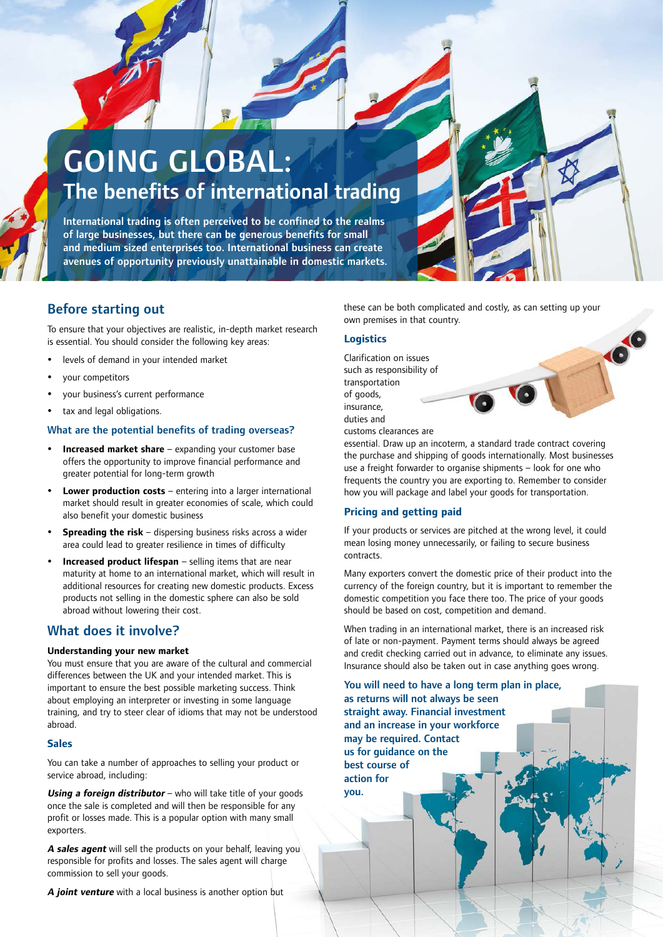# GOING GLOBAL: The benefits of international trading

International trading is often perceived to be confined to the realms of large businesses, but there can be generous benefits for small and medium sized enterprises too. International business can create avenues of opportunity previously unattainable in domestic markets.

# Before starting out

To ensure that your objectives are realistic, in-depth market research is essential. You should consider the following key areas:

- levels of demand in your intended market
- y your competitors
- y your business's current performance
- tax and legal obligations.

### What are the potential benefits of trading overseas?

- **Increased market share** expanding your customer base offers the opportunity to improve financial performance and greater potential for long-term growth
- **Lower production costs** entering into a larger international market should result in greater economies of scale, which could also benefit your domestic business
- **Spreading the risk** dispersing business risks across a wider area could lead to greater resilience in times of difficulty
- **Increased product lifespan** selling items that are near maturity at home to an international market, which will result in additional resources for creating new domestic products. Excess products not selling in the domestic sphere can also be sold abroad without lowering their cost.

### What does it involve?

### **Understanding your new market**

You must ensure that you are aware of the cultural and commercial differences between the UK and your intended market. This is important to ensure the best possible marketing success. Think about employing an interpreter or investing in some language training, and try to steer clear of idioms that may not be understood abroad.

### **Sales**

You can take a number of approaches to selling your product or service abroad, including:

**Using a foreign distributor** – who will take title of your goods once the sale is completed and will then be responsible for any profit or losses made. This is a popular option with many small exporters.

**A sales agent** will sell the products on your behalf, leaving you responsible for profits and losses. The sales agent will charge commission to sell your goods.

**A joint venture** with a local business is another option but

these can be both complicated and costly, as can setting up your own premises in that country.

### **Logistics**

Clarification on issues such as responsibility of transportation of goods, insurance, duties and

customs clearances are

essential. Draw up an incoterm, a standard trade contract covering the purchase and shipping of goods internationally. Most businesses use a freight forwarder to organise shipments – look for one who frequents the country you are exporting to. Remember to consider how you will package and label your goods for transportation.

### **Pricing and getting paid**

If your products or services are pitched at the wrong level, it could mean losing money unnecessarily, or failing to secure business contracts.

Many exporters convert the domestic price of their product into the currency of the foreign country, but it is important to remember the domestic competition you face there too. The price of your goods should be based on cost, competition and demand.

When trading in an international market, there is an increased risk of late or non-payment. Payment terms should always be agreed and credit checking carried out in advance, to eliminate any issues. Insurance should also be taken out in case anything goes wrong.

You will need to have a long term plan in place, as returns will not always be seen straight away. Financial investment

and an increase in your workforce may be required. Contact us for guidance on the best course of action for you.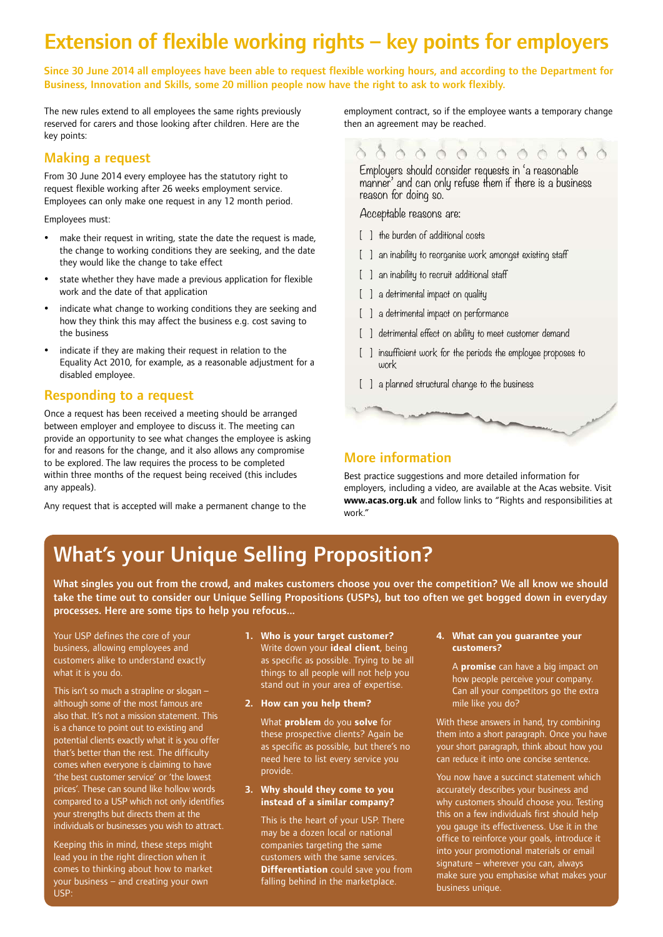# Extension of flexible working rights – key points for employers

Since 30 June 2014 all employees have been able to request flexible working hours, and according to the Department for Business, Innovation and Skills, some 20 million people now have the right to ask to work flexibly.

The new rules extend to all employees the same rights previously reserved for carers and those looking after children. Here are the key points:

### Making a request

From 30 June 2014 every employee has the statutory right to request flexible working after 26 weeks employment service. Employees can only make one request in any 12 month period.

Employees must:

- make their request in writing, state the date the request is made, the change to working conditions they are seeking, and the date they would like the change to take effect
- state whether they have made a previous application for flexible work and the date of that application
- indicate what change to working conditions they are seeking and how they think this may affect the business e.g. cost saving to the business
- indicate if they are making their request in relation to the Equality Act 2010, for example, as a reasonable adjustment for a disabled employee.

### Responding to a request

Once a request has been received a meeting should be arranged between employer and employee to discuss it. The meeting can provide an opportunity to see what changes the employee is asking for and reasons for the change, and it also allows any compromise to be explored. The law requires the process to be completed within three months of the request being received (this includes any appeals).

Any request that is accepted will make a permanent change to the

employment contract, so if the employee wants a temporary change then an agreement may be reached.

# 

Employers should consider requests in 'a reasonable manner' and can only refuse them if there is a business reason for doing so.

Acceptable reasons are:

- [ ] the burden of additional costs
- [ ] an inability to reorganise work amongst existing staff
- [ ] an inability to recruit additional staff
- [ ] a detrimental impact on quality
- [ ] a detrimental impact on performance
- [ ] detrimental effect on ability to meet customer demand
- [ ] insufficient work for the periods the employee proposes to work
- [] a planned structural change to the business

# More information

Best practice suggestions and more detailed information for employers, including a video, are available at the Acas website. Visit **www.acas.org.uk** and follow links to "Rights and responsibilities at work."

# What's your Unique Selling Proposition?

What singles you out from the crowd, and makes customers choose you over the competition? We all know we should take the time out to consider our Unique Selling Propositions (USPs), but too often we get bogged down in everyday processes. Here are some tips to help you refocus...

Your USP defines the core of your business, allowing employees and customers alike to understand exactly what it is you do.

This isn't so much a strapline or slogan – although some of the most famous are also that. It's not a mission statement. This is a chance to point out to existing and potential clients exactly what it is you offer that's better than the rest. The difficulty comes when everyone is claiming to have 'the best customer service' or 'the lowest prices'. These can sound like hollow words compared to a USP which not only identifies your strengths but directs them at the individuals or businesses you wish to attract.

Keeping this in mind, these steps might lead you in the right direction when it comes to thinking about how to market your business – and creating your own USP:

- **1. Who is your target customer?** Write down your **ideal client**, being as specific as possible. Trying to be all things to all people will not help you stand out in your area of expertise.
- **2. How can you help them?**

What **problem** do you **solve** for these prospective clients? Again be as specific as possible, but there's no need here to list every service you provide.

#### **3. Why should they come to you instead of a similar company?**

This is the heart of your USP. There may be a dozen local or national companies targeting the same customers with the same services. **Differentiation** could save you from falling behind in the marketplace.

#### **4. What can you guarantee your customers?**

A **promise** can have a big impact on how people perceive your company. Can all your competitors go the extra mile like you do?

With these answers in hand, try combining them into a short paragraph. Once you have your short paragraph, think about how you can reduce it into one concise sentence.

You now have a succinct statement which accurately describes your business and why customers should choose you. Testing this on a few individuals first should help you gauge its effectiveness. Use it in the office to reinforce your goals, introduce it into your promotional materials or email signature – wherever you can, always make sure you emphasise what makes your business unique.